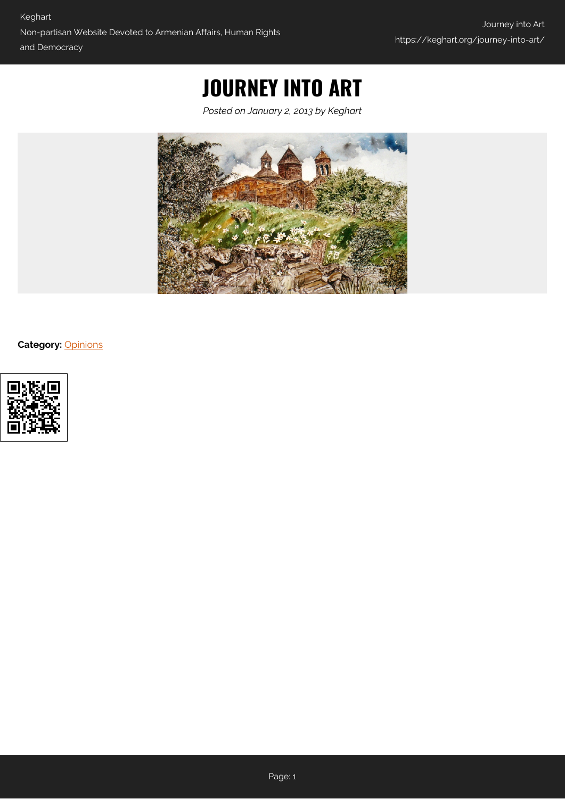# **JOURNEY INTO ART**

*Posted on January 2, 2013 by Keghart*



**Category:** [Opinions](https://keghart.org/category/opinions/)

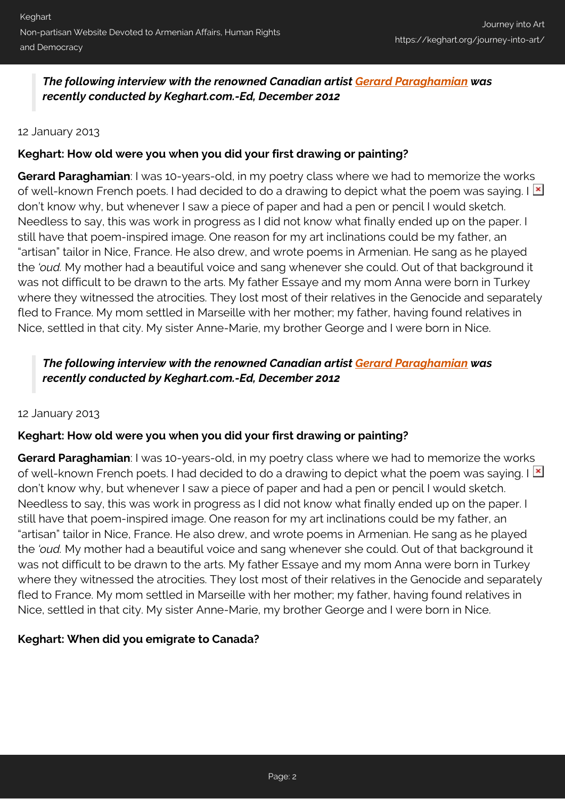*The following interview with the renowned Canadian artist [Gerard Paraghamian](http://gerardparaghamian.com/) was recently conducted by Keghart.com.-Ed, December 2012*

#### 12 January 2013

# **Keghart: How old were you when you did your first drawing or painting?**

**Gerard Paraghamian**: I was 10-years-old, in my poetry class where we had to memorize the works of well-known French poets. I had decided to do a drawing to depict what the poem was saying. I  $\mathbb{E}$ don't know why, but whenever I saw a piece of paper and had a pen or pencil I would sketch. Needless to say, this was work in progress as I did not know what finally ended up on the paper. I still have that poem-inspired image. One reason for my art inclinations could be my father, an "artisan" tailor in Nice, France. He also drew, and wrote poems in Armenian. He sang as he played the *'oud.* My mother had a beautiful voice and sang whenever she could. Out of that background it was not difficult to be drawn to the arts. My father Essaye and my mom Anna were born in Turkey where they witnessed the atrocities. They lost most of their relatives in the Genocide and separately fled to France. My mom settled in Marseille with her mother; my father, having found relatives in Nice, settled in that city. My sister Anne-Marie, my brother George and I were born in Nice.

# *The following interview with the renowned Canadian artist [Gerard Paraghamian](http://gerardparaghamian.com/) was recently conducted by Keghart.com.-Ed, December 2012*

#### 12 January 2013

# **Keghart: How old were you when you did your first drawing or painting?**

**Gerard Paraghamian**: I was 10-years-old, in my poetry class where we had to memorize the works of well-known French poets. I had decided to do a drawing to depict what the poem was saying. I  $\mathbb{E}$ don't know why, but whenever I saw a piece of paper and had a pen or pencil I would sketch. Needless to say, this was work in progress as I did not know what finally ended up on the paper. I still have that poem-inspired image. One reason for my art inclinations could be my father, an "artisan" tailor in Nice, France. He also drew, and wrote poems in Armenian. He sang as he played the *'oud.* My mother had a beautiful voice and sang whenever she could. Out of that background it was not difficult to be drawn to the arts. My father Essaye and my mom Anna were born in Turkey where they witnessed the atrocities. They lost most of their relatives in the Genocide and separately fled to France. My mom settled in Marseille with her mother; my father, having found relatives in Nice, settled in that city. My sister Anne-Marie, my brother George and I were born in Nice.

# **Keghart: When did you emigrate to Canada?**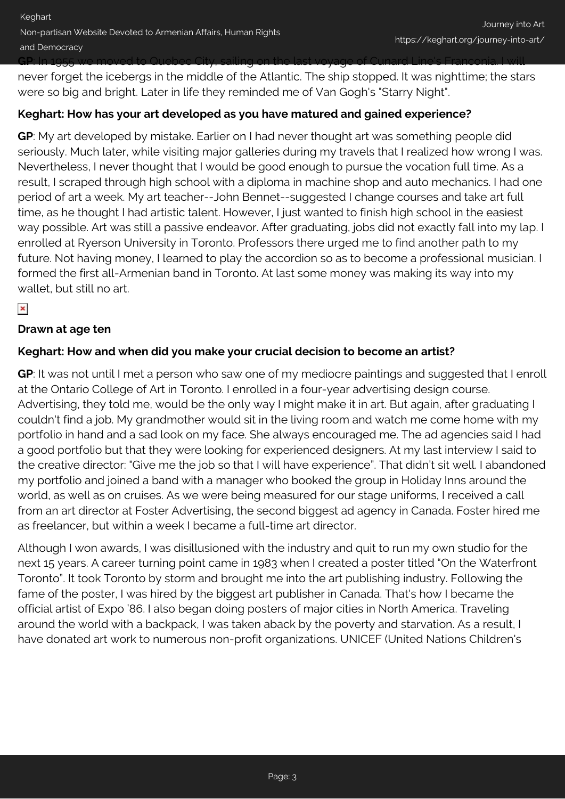**GP**: In 1955 we moved to Quebec City, sailing on the last voyage of Cunard Line's Franconia. I will

never forget the icebergs in the middle of the Atlantic. The ship stopped. It was nighttime; the stars were so big and bright. Later in life they reminded me of Van Gogh's "Starry Night".

# **Keghart: How has your art developed as you have matured and gained experience?**

**GP**: My art developed by mistake. Earlier on I had never thought art was something people did seriously. Much later, while visiting major galleries during my travels that I realized how wrong I was. Nevertheless, I never thought that I would be good enough to pursue the vocation full time. As a result, I scraped through high school with a diploma in machine shop and auto mechanics. I had one period of art a week. My art teacher--John Bennet--suggested I change courses and take art full time, as he thought I had artistic talent. However, I just wanted to finish high school in the easiest way possible. Art was still a passive endeavor. After graduating, jobs did not exactly fall into my lap. I enrolled at Ryerson University in Toronto. Professors there urged me to find another path to my future. Not having money, I learned to play the accordion so as to become a professional musician. I formed the first all-Armenian band in Toronto. At last some money was making its way into my wallet, but still no art.

# $\pmb{\times}$

#### **Drawn at age ten**

# **Keghart: How and when did you make your crucial decision to become an artist?**

**GP**: It was not until I met a person who saw one of my mediocre paintings and suggested that I enroll at the Ontario College of Art in Toronto. I enrolled in a four-year advertising design course. Advertising, they told me, would be the only way I might make it in art. But again, after graduating I couldn't find a job. My grandmother would sit in the living room and watch me come home with my portfolio in hand and a sad look on my face. She always encouraged me. The ad agencies said I had a good portfolio but that they were looking for experienced designers. At my last interview I said to the creative director: "Give me the job so that I will have experience". That didn't sit well. I abandoned my portfolio and joined a band with a manager who booked the group in Holiday Inns around the world, as well as on cruises. As we were being measured for our stage uniforms, I received a call from an art director at Foster Advertising, the second biggest ad agency in Canada. Foster hired me as freelancer, but within a week I became a full-time art director.

Although I won awards, I was disillusioned with the industry and quit to run my own studio for the next 15 years. A career turning point came in 1983 when I created a poster titled "On the Waterfront Toronto". It took Toronto by storm and brought me into the art publishing industry. Following the fame of the poster, I was hired by the biggest art publisher in Canada. That's how I became the official artist of Expo '86. I also began doing posters of major cities in North America. Traveling around the world with a backpack, I was taken aback by the poverty and starvation. As a result, I have donated art work to numerous non-profit organizations. UNICEF (United Nations Children's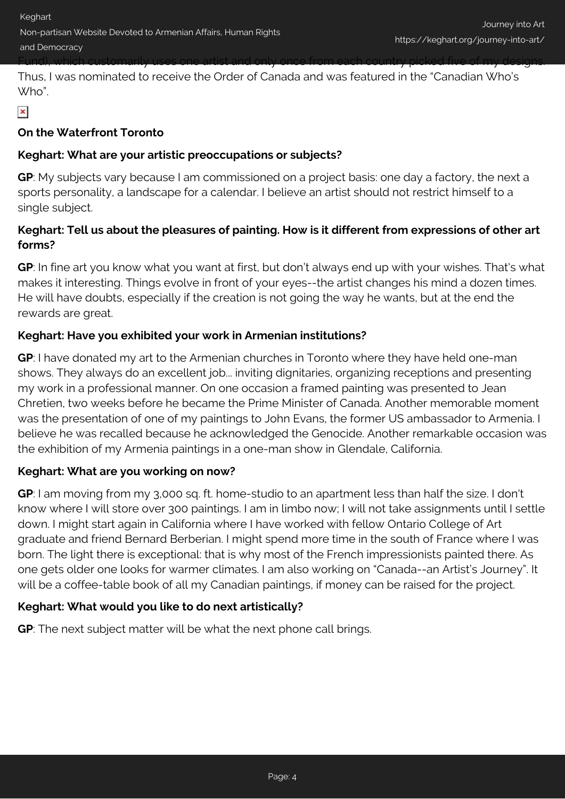Fund), which customarily uses one artist and only once from each country picked five of my designs.

Thus, I was nominated to receive the Order of Canada and was featured in the "Canadian Who's Who".

# $\pmb{\times}$

# **On the Waterfront Toronto**

# **Keghart: What are your artistic preoccupations or subjects?**

**GP**: My subjects vary because I am commissioned on a project basis: one day a factory, the next a sports personality, a landscape for a calendar. I believe an artist should not restrict himself to a single subject.

# **Keghart: Tell us about the pleasures of painting. How is it different from expressions of other art forms?**

**GP**: In fine art you know what you want at first, but don't always end up with your wishes. That's what makes it interesting. Things evolve in front of your eyes--the artist changes his mind a dozen times. He will have doubts, especially if the creation is not going the way he wants, but at the end the rewards are great.

# **Keghart: Have you exhibited your work in Armenian institutions?**

**GP**: I have donated my art to the Armenian churches in Toronto where they have held one-man shows. They always do an excellent job... inviting dignitaries, organizing receptions and presenting my work in a professional manner. On one occasion a framed painting was presented to Jean Chretien, two weeks before he became the Prime Minister of Canada. Another memorable moment was the presentation of one of my paintings to John Evans, the former US ambassador to Armenia. I believe he was recalled because he acknowledged the Genocide. Another remarkable occasion was the exhibition of my Armenia paintings in a one-man show in Glendale, California.

# **Keghart: What are you working on now?**

**GP**: I am moving from my 3,000 sq. ft. home-studio to an apartment less than half the size. I don't know where I will store over 300 paintings. I am in limbo now; I will not take assignments until I settle down. I might start again in California where I have worked with fellow Ontario College of Art graduate and friend Bernard Berberian. I might spend more time in the south of France where I was born. The light there is exceptional: that is why most of the French impressionists painted there. As one gets older one looks for warmer climates. I am also working on "Canada--an Artist's Journey". It will be a coffee-table book of all my Canadian paintings, if money can be raised for the project.

# **Keghart: What would you like to do next artistically?**

**GP**: The next subject matter will be what the next phone call brings.